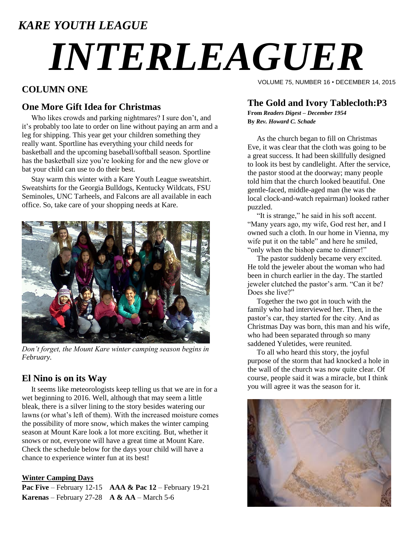### *KARE YOUTH LEAGUE*

# *INTERLEAGUER*

#### **COLUMN ONE**

#### **One More Gift Idea for Christmas**

 Who likes crowds and parking nightmares? I sure don't, and it's probably too late to order on line without paying an arm and a leg for shipping. This year get your children something they really want. Sportline has everything your child needs for basketball and the upcoming baseball/softball season. Sportline has the basketball size you're looking for and the new glove or bat your child can use to do their best.

 Stay warm this winter with a Kare Youth League sweatshirt. Sweatshirts for the Georgia Bulldogs, Kentucky Wildcats, FSU Seminoles, UNC Tarheels, and Falcons are all available in each office. So, take care of your shopping needs at Kare.



*Don't forget, the Mount Kare winter camping season begins in February.* 

#### **El Nino is on its Way**

 It seems like meteorologists keep telling us that we are in for a wet beginning to 2016. Well, although that may seem a little bleak, there is a silver lining to the story besides watering our lawns (or what's left of them). With the increased moisture comes the possibility of more snow, which makes the winter camping season at Mount Kare look a lot more exciting. But, whether it snows or not, everyone will have a great time at Mount Kare. Check the schedule below for the days your child will have a chance to experience winter fun at its best!

#### **Winter Camping Days**

**Pac Five** – February 12-15 **AAA & Pac 12** – February 19-21 **Karenas** – February 27-28 **A & AA** – March 5-6

VOLUME 75, NUMBER 16 • DECEMBER 14, 2015

#### **The Gold and Ivory Tablecloth:P3**

**From** *Readers Digest – December 1954* **By** *Rev. Howard C. Schade*

 As the church began to fill on Christmas Eve, it was clear that the cloth was going to be a great success. It had been skillfully designed to look its best by candlelight. After the service, the pastor stood at the doorway; many people told him that the church looked beautiful. One gentle-faced, middle-aged man (he was the local clock-and-watch repairman) looked rather puzzled.

 "It is strange," he said in his soft accent. "Many years ago, my wife, God rest her, and I owned such a cloth. In our home in Vienna, my wife put it on the table" and here he smiled, "only when the bishop came to dinner!"

 The pastor suddenly became very excited. He told the jeweler about the woman who had been in church earlier in the day. The startled jeweler clutched the pastor's arm. "Can it be? Does she live?"

 Together the two got in touch with the family who had interviewed her. Then, in the pastor's car, they started for the city. And as Christmas Day was born, this man and his wife, who had been separated through so many saddened Yuletides, were reunited.

 To all who heard this story, the joyful purpose of the storm that had knocked a hole in the wall of the church was now quite clear. Of course, people said it was a miracle, but I think you will agree it was the season for it.